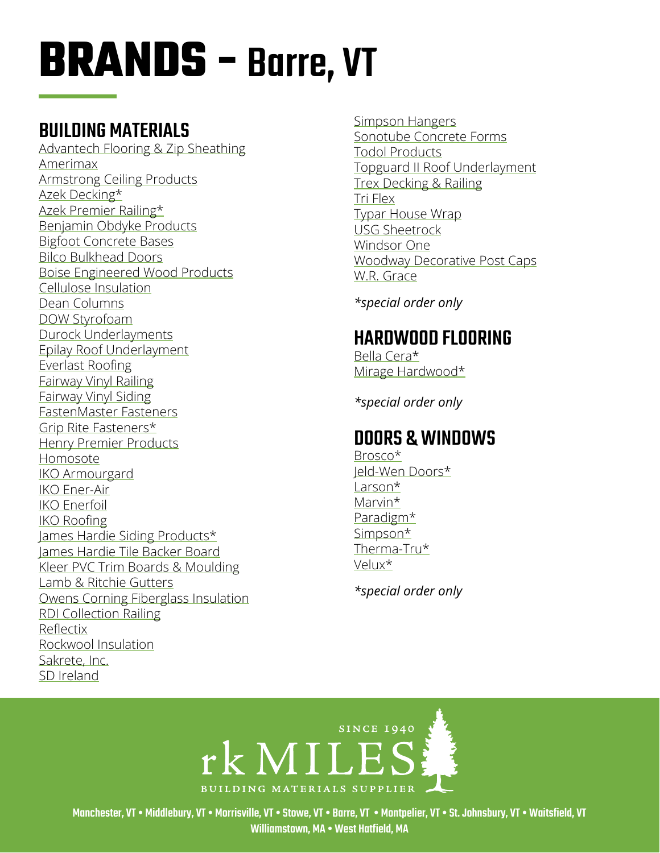## BUILDING MATERIALS

[Advantech Flooring & Zip Sheathing](https://www.huberwood.com/)  [Amerimax](https://www.amerimax.com/)  [Armstrong Ceiling Products](http://www.armstrongceilings.com/residential/en-us/) [Azek Decking](https://www.timbertech.com/azek-decking)\* [Azek Premier Railing](https://www.timbertech.com/azek-railing)\* [Benjamin Obdyke Products](http://www.benjaminobdyke.com/)  [Bigfoot Concrete Bases](http://www.bigfootsystems.com/) [Bilco Bulkhead Doors](https://www.bilco.com/) [Boise Engineered Wood Products](https://www.bc.com/ewp/) [Cellulose Insulation](https://www.greenfiber.com/) [Dean Columns](http://www.deancolumn.com/) [DOW Styrofoam](http://building.dow.com/na/en/products/insulation/rigidfoam.htm)  [Durock Underlayments](http://www.usg.com/durock-cement-board.html)  [Epilay Roof Underlayment](https://www.epilay.com/synthetic-roofing-underlayment/) [Everlast Roofing](https://everlastroofing.com/) [Fairway Vinyl Railing](https://www.fairwayrailing.com/products/product-types/vinyl-railing/)  [Fairway Vinyl Siding](https://www.fairwaywholesale.com/fairway) [FastenMaster Fasteners](https://www.fastenmaster.com/)  [Grip Rite Fasteners\\*](https://www.grip-rite.com/products/us-en-products/fasteners/) Henry Premier Products H[omosote](http://www.homasote.com/)  [IKO Armourgard](https://www.iko.com/na/residential-roofing-accessories/ice-water-protectors/armourgard/) [IKO Ener-Air](https://www.iko.com/comm/product/iko-ener-air/)  [IKO Enerfoil](https://www.iko.com/comm/product/iko-enerfoil-sheathing/) [IKO Roofing](http://www.iko.com/us/) [James Hardie Siding Products\\*](http://www.jameshardie.com/homeowner/siding.shtml)  [James Hardie Tile Backer Board](https://www.jameshardie.com/products/hardiebacker-cement-board) [Kleer PVC Trim Boards & Moulding](https://kleerlumber.com/) [Lamb & Ritchie Gutters](https://www.lambritchie.com/catalog01.shtml)  [Owens Corning Fiberglass Insulation](https://www.owenscorning.com/insulation) [RDI Collection Railing](https://www.barretteoutdoorliving.com/product/rdi-collection-titan-pro-rail-vinyl-railing-kit) [Reflectix](https://www.reflectixinc.com/) [Rockwool Insulation](https://www.rockwool.com/)  [Sakrete, Inc.](http://www.sakrete.com/) SD Ireland

[Simpson Hangers](http://www.strongtie.com/)  [Sonotube Concrete Forms](http://sonotube.com/products/sonotubeconcreteforms.aspx) [Todol Products](https://todol.com/) [Topguard II Roof Underlayment](http://www.rooftopguard.com/en/home.html) [Trex Decking & Railing](http://www.trex.com/) [Tri Flex](https://gcpat.com/en/solutions/products/tri-flex-synthetic-underlayment/tri-flex-xt-synthetic-underlayment)  [Typar House Wrap](http://www.typar.com/products/typar-buildingwrap/) [USG Sheetrock](https://www.usg.com/content/usgcom/en.html) [Windsor One](https://windsorone.com/) [Woodway](https://www.woodwayproducts.com/products/post-caps) Decorative Post Caps [W.R. Grace](http://www.grace.com/)

*\*special order only*

## HARDWOOD FLOORING

[Bella Cera\\*](http://www.bellacerafloors.com/hardwood-flooring/Casa-Mia-hardwood-flooring.aspx) Mirage Hardwood\*

*\*special order only*

## DOORS & WINDOWS

[Brosco\\*](http://www.brosco.com/) [Jeld-Wen](https://www.dupont.com/products/tyvek-homewrap-superior-house-wrap.html) Doors\* [Larson](https://www.larsondoors.com/)\* [Marvin](http://www.marvin.com/)\* [Paradigm\\*](http://www.paradigmwindows.com/) [Simpson](http://www.simpsondoor.com/)\* [Therma-Tru\\*](https://www.thermatru.com/) [Velux\\*](https://www.velux.com/)

*\*special order only*



Manchester, VT • Middlebury, VT • Morrisville, VT • Stowe, VT • Barre, VT • Montpelier, VT • St. Johnsbury, VT • Waitsfield, VT Williamstown, MA • West Hatfield, MA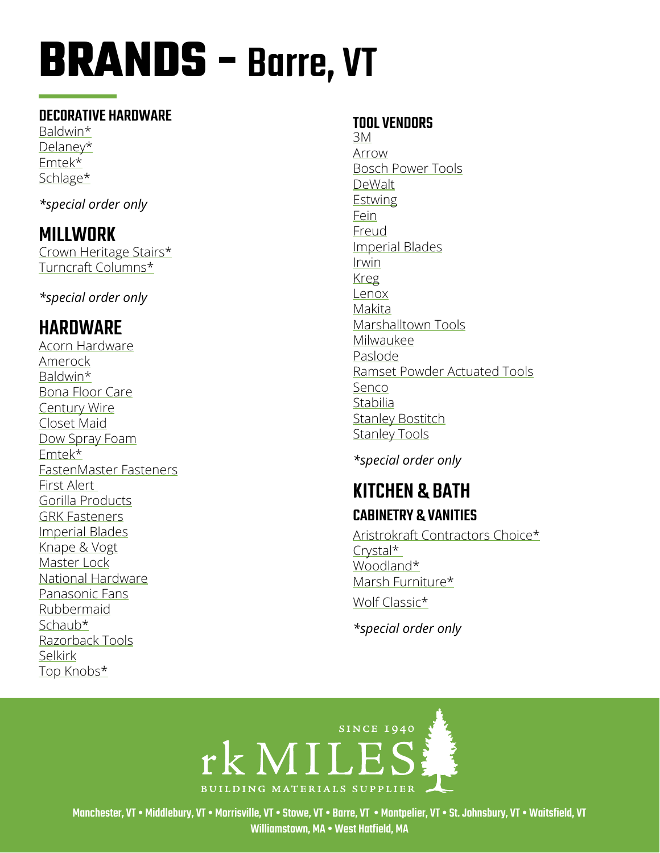#### DECORATIVE HARDWARE

[Baldwin](http://www.baldwinhardware.com/home.aspx)\* [Delaney](https://delaneyhardware.com/)\* [Emtek\\*](http://www.emtekproducts.com/) [Schlage](https://www.schlage.com/en/home.html)\*

*\*special order only*

### MILLWORK

[Crown Heritage Stairs\\*](http://crownheritage.com/Products) [Turncraft Columns\\*](https://turncraft.com/) 

*\*special order only*

## HARDWARE

[Acorn Hardware](http://www.acornmfg.com/) [Amerock](https://www.amerock.com/) [Baldwin\\*](https://www.baldwinhardware.com/) [Bona Floor Care](https://us.bona.com/bona-clean.html?healthy_home&gclid=EAIaIQobChMIpfftyOHn7wIVV8DICh2CgQZ1EAAYAiAAEgJNUPD_BwE) [Century Wire](https://www.centurywire.com/) [Closet Maid](https://closetmaid.com/webapp/wcs/stores/servlet/en/closetmaid-us) [Dow Spray Foam](https://www.dow.com/en-us/market/mkt-building-construction/sub-build-wall-systems-insulation-facade/app-build-wallinsulation-spray-foam.html) [Emtek\\*](https://emtek.com/) [FastenMaster Fasteners](https://www.fastenmaster.com/) [First Alert](https://www.firstalert.com/)  [Gorilla Products](https://www.gorillatough.com/) [GRK Fasteners](https://www.grkfasteners.com/) [Imperial Blades](https://imperialblades.com/) [Knape & Vogt](https://www.knapeandvogt.com/) [Master Lock](https://www.masterlock.com/) [National Hardware](https://www.national-hardware.com/) [Panasonic Fans](https://na.panasonic.com/us/home-and-building-solutions/ventilation-indoor-air-quality/ventilation-fans) [Rubbermaid](https://www.rubbermaid.com/) [Schaub\\*](https://schaubandcompany.com/) [Razorback Tools](https://www.razor-back.com/) [Selkirk](http://www.selkirkcorp.com/) [Top Knobs\\*](https://www.topknobs.com/)

#### TOOL VENDORS

[3M](https://www.3m.com/) [Arrow](https://arrowfastener.com/) [Bosch Power Tools](http://www.boschtools.com/products/tools/Pages/BoschProductCategory.aspx) [DeWalt](https://www.dewalt.com/) **[Estwing](https://www.estwing.com/)** [Fein](https://fein.com/en_us/) [Freud](https://www.freudtools.com/) [Imperial Blades](http://www.imperialblades.com/) [Irwin](https://www.irwin.com/) [Kreg](https://www.kregtool.com/) [Lenox](https://www.lenoxtools.com/Pages/Home.aspx) [Makita](https://www.makitatools.com/) [Marshalltown Tools](https://marshalltown.com/) [Milwaukee](https://www.milwaukeetool.com/) [Paslode](https://www.paslode.com/) [Ramset](https://www.ramset.com/) Powder Actuated Tools [Senco](https://www.senco.com/default.aspx) [Stabilia](http://www.stabila.com/) **[Stanley Bostitch](https://www.bostitch.com/)** [Stanley Tools](https://www.stanleytools.com/)

*\*special order only*

### KITCHEN & BATH CABINETRY & VANITIES

[Aristrokraft Contractors Choice\\*](https://www.aristokraft.com/) [Crystal\\*](https://crystalcabinets.com/portfolio/)  [Woodland\\*](https://woodlandcabinetry.com/) [Marsh Furniture\\*](https://www.marshfurniture.com/)

[Wolf](https://www.wolfhomeproducts.com/kitchencabinetry) Classic\*

*\*special order only*



Manchester, VT • Middlebury, VT • Morrisville, VT • Stowe, VT • Barre, VT • Montpelier, VT • St. Johnsbury, VT • Waitsfield, VT Williamstown, MA • West Hatfield, MA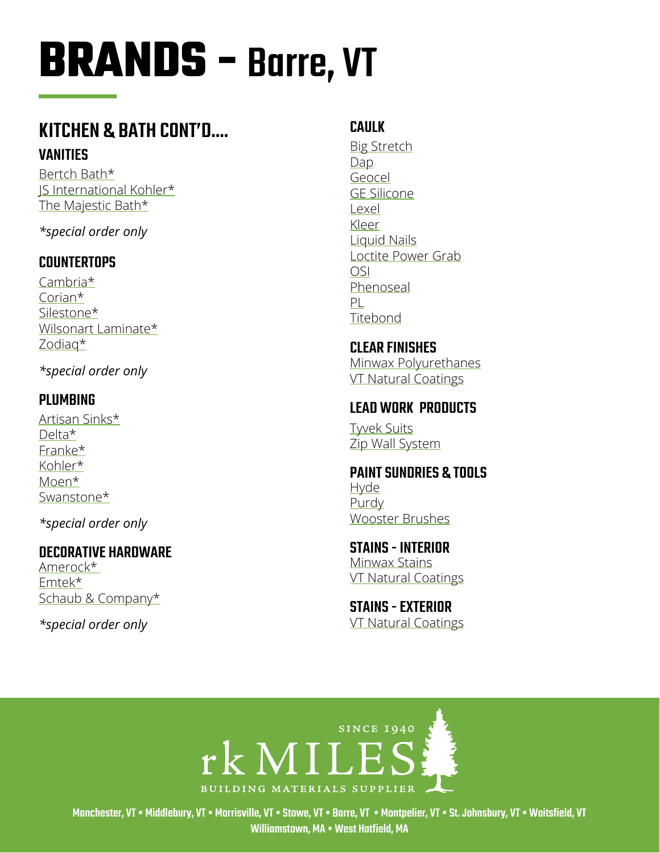### **KITCHEN & BATH CONT'D.... VANITIES**

Bertch Bath\* IS International Kohler\* The Majestic Bath\*

\*special order only

#### **COUNTERTOPS**

 $Cambra*$ Corian $*$ Silestone\* Wilsonart Laminate\* Zodiag\*

\*special order only

#### **PLUMBING**

Artisan Sinks\* Delta\* Franke\* Kohler\* Moen\* Swanstone\*

\*special order only

#### **DECORATIVE HARDWARE**

Amerock\* Emtek\* Schaub & Company\*

\*special order only

#### **CAULK**

**Big Stretch** Dap Geocel **GE Silicone** Lexel Kleer Liquid Nails Loctite Power Grab **OSI** Phenoseal PL Titebond

**CLEAR FINISHES** Minwax Polyurethanes **VT Natural Coatings** 

#### **LEAD WORK PRODUCTS**

**Twek Suits** Zip Wall System

**PAINT SUNDRIES & TOOLS Hyde** Purdy **Wooster Brushes** 

**STAINS - INTERIOR Minwax Stains VT Natural Coatings** 

**STAINS - EXTERIOR VT Natural Coatings** 



Manchester, VT • Middlebury, VT • Morrisville, VT • Stowe, VT • Barre, VT • Montpelier, VT • St. Johnsbury, VT • Waitsfield, VT Williamstown, MA . West Hatfield, MA